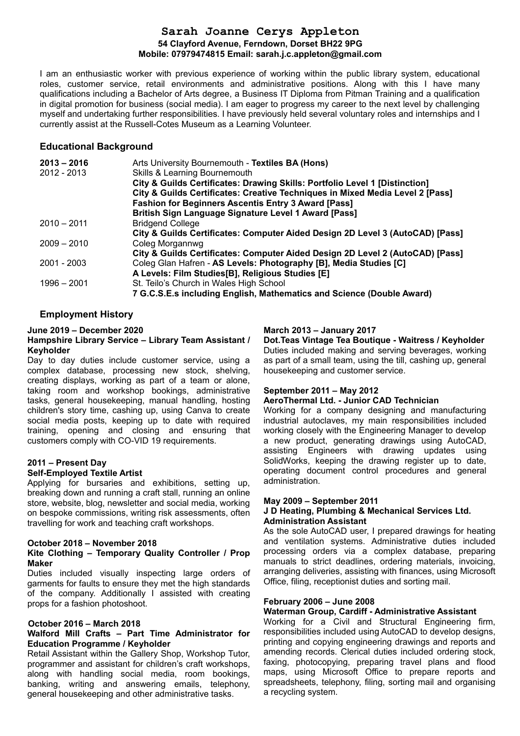# **Sarah Joanne Cerys Appleton 54 Clayford Avenue, Ferndown, Dorset BH22 9PG Mobile: 07979474815 Email: sarah.j.c.appleton@gmail.com**

I am an enthusiastic worker with previous experience of working within the public library system, educational roles, customer service, retail environments and administrative positions. Along with this I have many qualifications including a Bachelor of Arts degree, a Business IT Diploma from Pitman Training and a qualification in digital promotion for business (social media). I am eager to progress my career to the next level by challenging myself and undertaking further responsibilities. I have previously held several voluntary roles and internships and I currently assist at the Russell-Cotes Museum as a Learning Volunteer.

# **Educational Background**

| $2013 - 2016$ | Arts University Bournemouth - Textiles BA (Hons)                              |
|---------------|-------------------------------------------------------------------------------|
| 2012 - 2013   | <b>Skills &amp; Learning Bournemouth</b>                                      |
|               | City & Guilds Certificates: Drawing Skills: Portfolio Level 1 [Distinction]   |
|               | City & Guilds Certificates: Creative Techniques in Mixed Media Level 2 [Pass] |
|               | <b>Fashion for Beginners Ascentis Entry 3 Award [Pass]</b>                    |
|               | <b>British Sign Language Signature Level 1 Award [Pass]</b>                   |
| $2010 - 2011$ | <b>Bridgend College</b>                                                       |
|               | City & Guilds Certificates: Computer Aided Design 2D Level 3 (AutoCAD) [Pass] |
| $2009 - 2010$ | Coleg Morgannwg                                                               |
|               | City & Guilds Certificates: Computer Aided Design 2D Level 2 (AutoCAD) [Pass] |
| 2001 - 2003   | Coleg Glan Hafren - AS Levels: Photography [B], Media Studies [C]             |
|               | A Levels: Film Studies[B], Religious Studies [E]                              |
| $1996 - 2001$ | St. Teilo's Church in Wales High School                                       |
|               | 7 G.C.S.E.s including English, Mathematics and Science (Double Award)         |

# **Employment History**

### **June 2019 – December 2020**

#### **Hampshire Library Service – Library Team Assistant / Keyholder**

Day to day duties include customer service, using a complex database, processing new stock, shelving, creating displays, working as part of a team or alone, taking room and workshop bookings, administrative tasks, general housekeeping, manual handling, hosting children's story time, cashing up, using Canva to create social media posts, keeping up to date with required training, opening and closing and ensuring that customers comply with CO-VID 19 requirements.

## **2011 – Present Day**

### **Self-Employed Textile Artist**

Applying for bursaries and exhibitions, setting up, breaking down and running a craft stall, running an online store, website, blog, newsletter and social media, working on bespoke commissions, writing risk assessments, often travelling for work and teaching craft workshops.

#### **October 2018 – November 2018**

#### **Kite Clothing – Temporary Quality Controller / Prop Maker**

Duties included visually inspecting large orders of garments for faults to ensure they met the high standards of the company. Additionally I assisted with creating props for a fashion photoshoot.

#### **October 2016 – March 2018**

## **Walford Mill Crafts – Part Time Administrator for Education Programme / Keyholder**

Retail Assistant within the Gallery Shop, Workshop Tutor, programmer and assistant for children's craft workshops, along with handling social media, room bookings, banking, writing and answering emails, telephony, general housekeeping and other administrative tasks.

## **March 2013 – January 2017**

**Dot.Teas Vintage Tea Boutique - Waitress / Keyholder** Duties included making and serving beverages, working as part of a small team, using the till, cashing up, general housekeeping and customer service.

## **September 2011 – May 2012**

#### **AeroThermal Ltd. - Junior CAD Technician**

Working for a company designing and manufacturing industrial autoclaves, my main responsibilities included working closely with the Engineering Manager to develop a new product, generating drawings using AutoCAD, assisting Engineers with drawing updates using SolidWorks, keeping the drawing register up to date, operating document control procedures and general administration.

#### **May 2009 – September 2011 J D Heating, Plumbing & Mechanical Services Ltd. Administration Assistant**

As the sole AutoCAD user, I prepared drawings for heating and ventilation systems. Administrative duties included processing orders via a complex database, preparing manuals to strict deadlines, ordering materials, invoicing, arranging deliveries, assisting with finances, using Microsoft Office, filing, receptionist duties and sorting mail.

## **February 2006 – June 2008**

**Waterman Group, Cardiff - Administrative Assistant**  Working for a Civil and Structural Engineering firm, responsibilities included using AutoCAD to develop designs, printing and copying engineering drawings and reports and amending records. Clerical duties included ordering stock, faxing, photocopying, preparing travel plans and flood maps, using Microsoft Office to prepare reports and spreadsheets, telephony, filing, sorting mail and organising a recycling system.